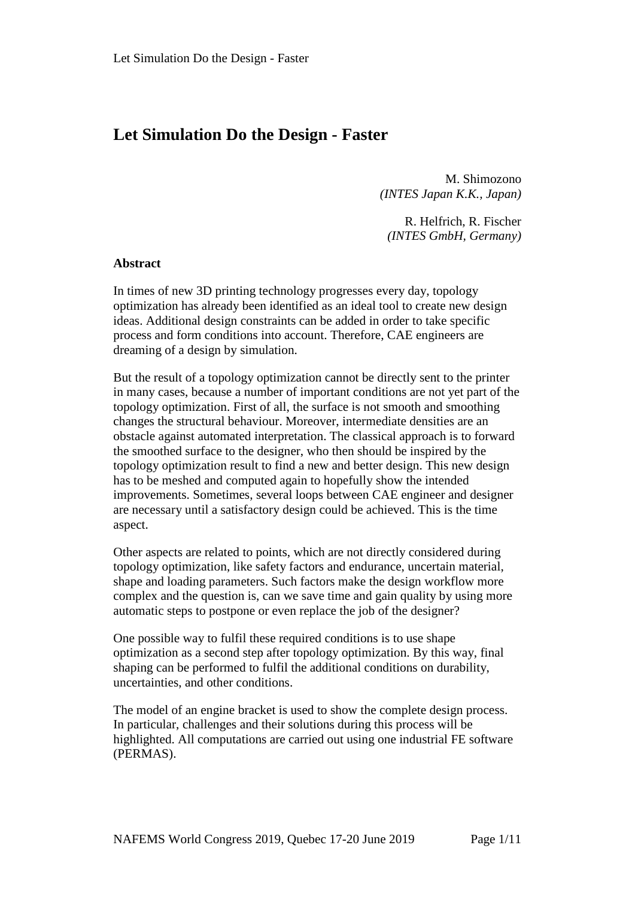# **Let Simulation Do the Design - Faster**

M. Shimozono *(INTES Japan K.K., Japan)*

R. Helfrich, R. Fischer *(INTES GmbH, Germany)*

#### **Abstract**

In times of new 3D printing technology progresses every day, topology optimization has already been identified as an ideal tool to create new design ideas. Additional design constraints can be added in order to take specific process and form conditions into account. Therefore, CAE engineers are dreaming of a design by simulation.

But the result of a topology optimization cannot be directly sent to the printer in many cases, because a number of important conditions are not yet part of the topology optimization. First of all, the surface is not smooth and smoothing changes the structural behaviour. Moreover, intermediate densities are an obstacle against automated interpretation. The classical approach is to forward the smoothed surface to the designer, who then should be inspired by the topology optimization result to find a new and better design. This new design has to be meshed and computed again to hopefully show the intended improvements. Sometimes, several loops between CAE engineer and designer are necessary until a satisfactory design could be achieved. This is the time aspect.

Other aspects are related to points, which are not directly considered during topology optimization, like safety factors and endurance, uncertain material, shape and loading parameters. Such factors make the design workflow more complex and the question is, can we save time and gain quality by using more automatic steps to postpone or even replace the job of the designer?

One possible way to fulfil these required conditions is to use shape optimization as a second step after topology optimization. By this way, final shaping can be performed to fulfil the additional conditions on durability, uncertainties, and other conditions.

The model of an engine bracket is used to show the complete design process. In particular, challenges and their solutions during this process will be highlighted. All computations are carried out using one industrial FE software (PERMAS).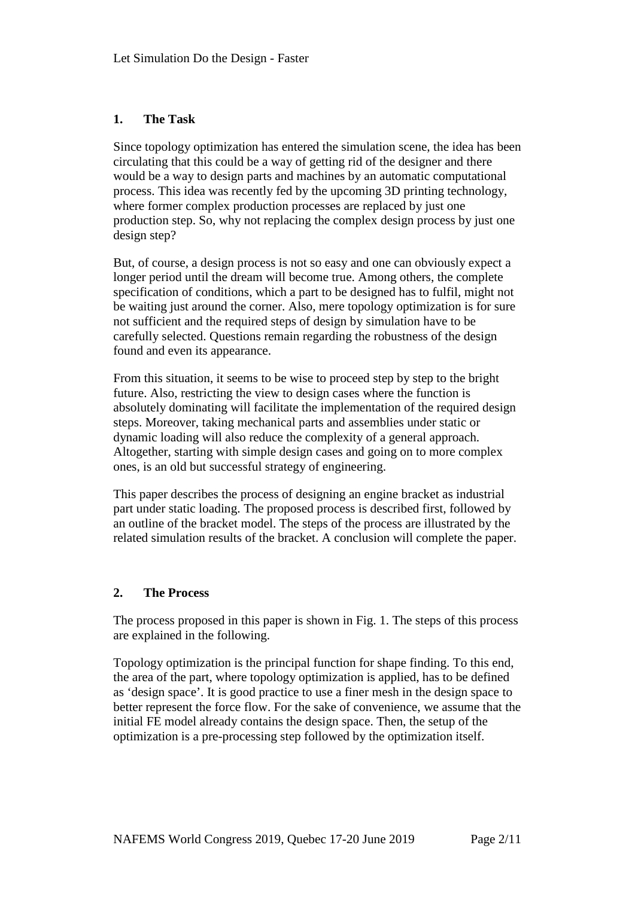### **1. The Task**

Since topology optimization has entered the simulation scene, the idea has been circulating that this could be a way of getting rid of the designer and there would be a way to design parts and machines by an automatic computational process. This idea was recently fed by the upcoming 3D printing technology, where former complex production processes are replaced by just one production step. So, why not replacing the complex design process by just one design step?

But, of course, a design process is not so easy and one can obviously expect a longer period until the dream will become true. Among others, the complete specification of conditions, which a part to be designed has to fulfil, might not be waiting just around the corner. Also, mere topology optimization is for sure not sufficient and the required steps of design by simulation have to be carefully selected. Questions remain regarding the robustness of the design found and even its appearance.

From this situation, it seems to be wise to proceed step by step to the bright future. Also, restricting the view to design cases where the function is absolutely dominating will facilitate the implementation of the required design steps. Moreover, taking mechanical parts and assemblies under static or dynamic loading will also reduce the complexity of a general approach. Altogether, starting with simple design cases and going on to more complex ones, is an old but successful strategy of engineering.

This paper describes the process of designing an engine bracket as industrial part under static loading. The proposed process is described first, followed by an outline of the bracket model. The steps of the process are illustrated by the related simulation results of the bracket. A conclusion will complete the paper.

#### **2. The Process**

The process proposed in this paper is shown in Fig. 1. The steps of this process are explained in the following.

Topology optimization is the principal function for shape finding. To this end, the area of the part, where topology optimization is applied, has to be defined as 'design space'. It is good practice to use a finer mesh in the design space to better represent the force flow. For the sake of convenience, we assume that the initial FE model already contains the design space. Then, the setup of the optimization is a pre-processing step followed by the optimization itself.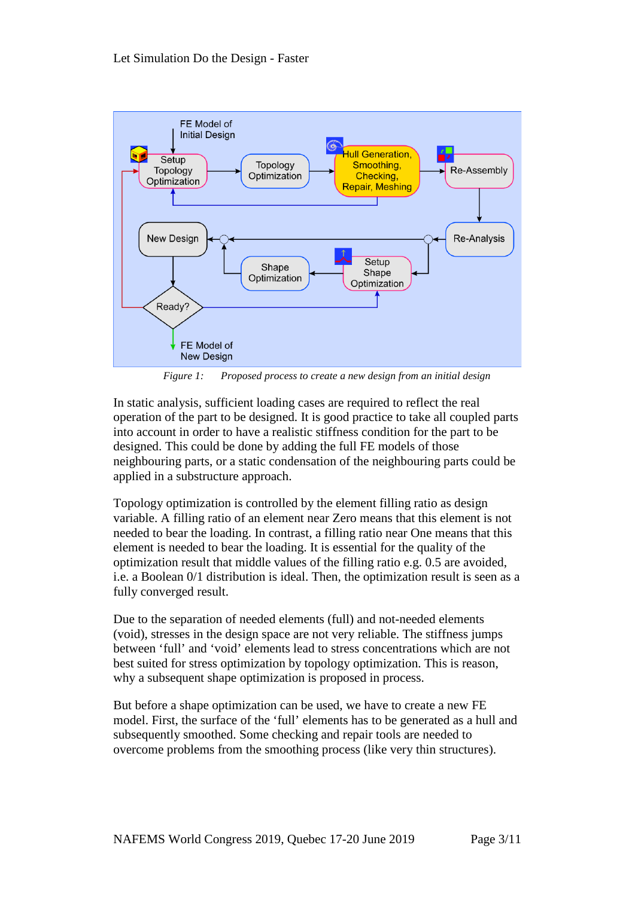

*Figure 1: Proposed process to create a new design from an initial design*

In static analysis, sufficient loading cases are required to reflect the real operation of the part to be designed. It is good practice to take all coupled parts into account in order to have a realistic stiffness condition for the part to be designed. This could be done by adding the full FE models of those neighbouring parts, or a static condensation of the neighbouring parts could be applied in a substructure approach.

Topology optimization is controlled by the element filling ratio as design variable. A filling ratio of an element near Zero means that this element is not needed to bear the loading. In contrast, a filling ratio near One means that this element is needed to bear the loading. It is essential for the quality of the optimization result that middle values of the filling ratio e.g. 0.5 are avoided, i.e. a Boolean 0/1 distribution is ideal. Then, the optimization result is seen as a fully converged result.

Due to the separation of needed elements (full) and not-needed elements (void), stresses in the design space are not very reliable. The stiffness jumps between 'full' and 'void' elements lead to stress concentrations which are not best suited for stress optimization by topology optimization. This is reason, why a subsequent shape optimization is proposed in process.

But before a shape optimization can be used, we have to create a new FE model. First, the surface of the 'full' elements has to be generated as a hull and subsequently smoothed. Some checking and repair tools are needed to overcome problems from the smoothing process (like very thin structures).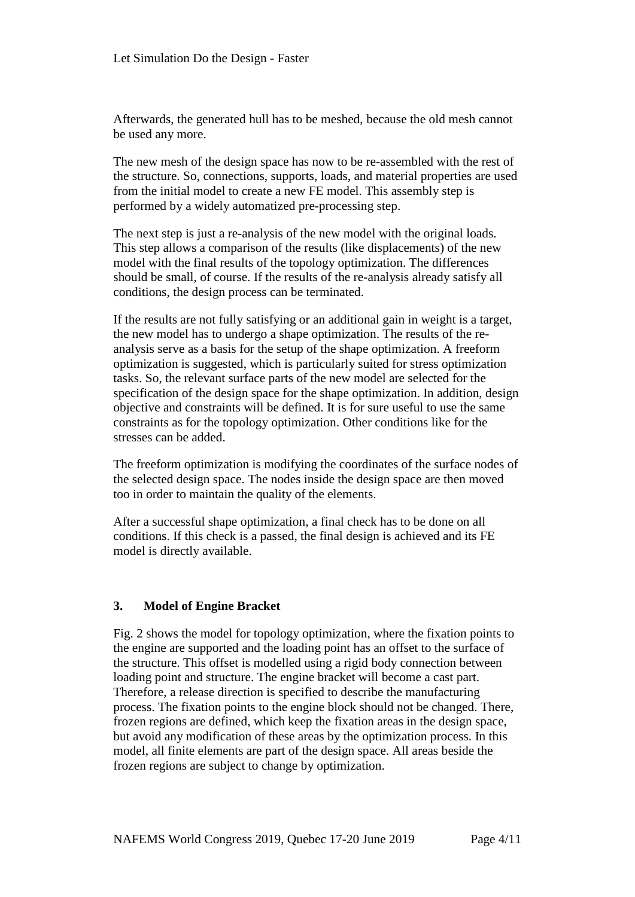Afterwards, the generated hull has to be meshed, because the old mesh cannot be used any more.

The new mesh of the design space has now to be re-assembled with the rest of the structure. So, connections, supports, loads, and material properties are used from the initial model to create a new FE model. This assembly step is performed by a widely automatized pre-processing step.

The next step is just a re-analysis of the new model with the original loads. This step allows a comparison of the results (like displacements) of the new model with the final results of the topology optimization. The differences should be small, of course. If the results of the re-analysis already satisfy all conditions, the design process can be terminated.

If the results are not fully satisfying or an additional gain in weight is a target, the new model has to undergo a shape optimization. The results of the reanalysis serve as a basis for the setup of the shape optimization. A freeform optimization is suggested, which is particularly suited for stress optimization tasks. So, the relevant surface parts of the new model are selected for the specification of the design space for the shape optimization. In addition, design objective and constraints will be defined. It is for sure useful to use the same constraints as for the topology optimization. Other conditions like for the stresses can be added.

The freeform optimization is modifying the coordinates of the surface nodes of the selected design space. The nodes inside the design space are then moved too in order to maintain the quality of the elements.

After a successful shape optimization, a final check has to be done on all conditions. If this check is a passed, the final design is achieved and its FE model is directly available.

#### **3. Model of Engine Bracket**

Fig. 2 shows the model for topology optimization, where the fixation points to the engine are supported and the loading point has an offset to the surface of the structure. This offset is modelled using a rigid body connection between loading point and structure. The engine bracket will become a cast part. Therefore, a release direction is specified to describe the manufacturing process. The fixation points to the engine block should not be changed. There, frozen regions are defined, which keep the fixation areas in the design space, but avoid any modification of these areas by the optimization process. In this model, all finite elements are part of the design space. All areas beside the frozen regions are subject to change by optimization.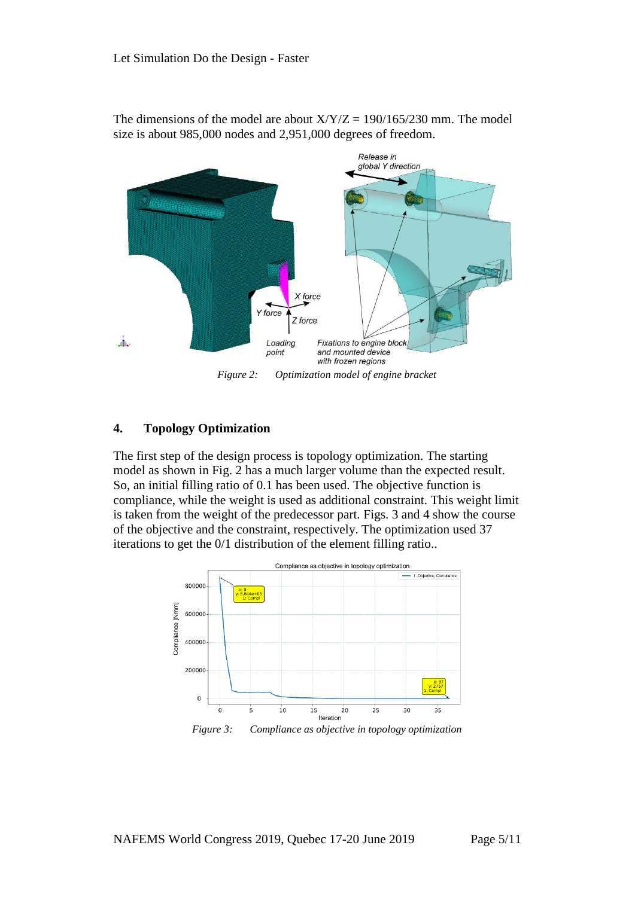

The dimensions of the model are about  $X/Y/Z = 190/165/230$  mm. The model size is about 985,000 nodes and 2,951,000 degrees of freedom.

## **4. Topology Optimization**

The first step of the design process is topology optimization. The starting model as shown in Fig. 2 has a much larger volume than the expected result. So, an initial filling ratio of 0.1 has been used. The objective function is compliance, while the weight is used as additional constraint. This weight limit is taken from the weight of the predecessor part. Figs. 3 and 4 show the course of the objective and the constraint, respectively. The optimization used 37 iterations to get the 0/1 distribution of the element filling ratio..



*Figure 3: Compliance as objective in topology optimization*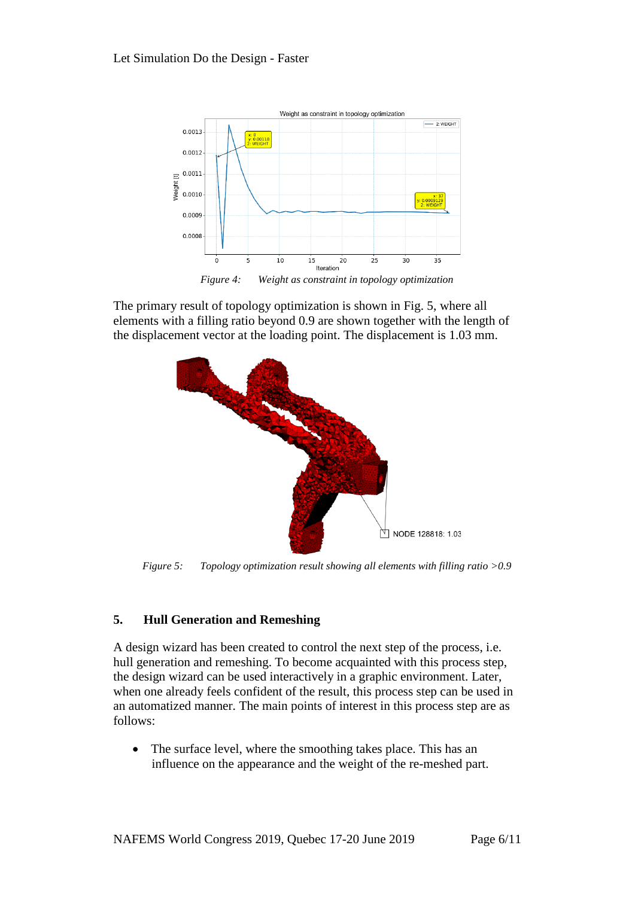

*Figure 4: Weight as constraint in topology optimization*

The primary result of topology optimization is shown in Fig. 5, where all elements with a filling ratio beyond 0.9 are shown together with the length of the displacement vector at the loading point. The displacement is 1.03 mm.



*Figure 5: Topology optimization result showing all elements with filling ratio >0.9*

# **5. Hull Generation and Remeshing**

A design wizard has been created to control the next step of the process, i.e. hull generation and remeshing. To become acquainted with this process step, the design wizard can be used interactively in a graphic environment. Later, when one already feels confident of the result, this process step can be used in an automatized manner. The main points of interest in this process step are as follows:

• The surface level, where the smoothing takes place. This has an influence on the appearance and the weight of the re-meshed part.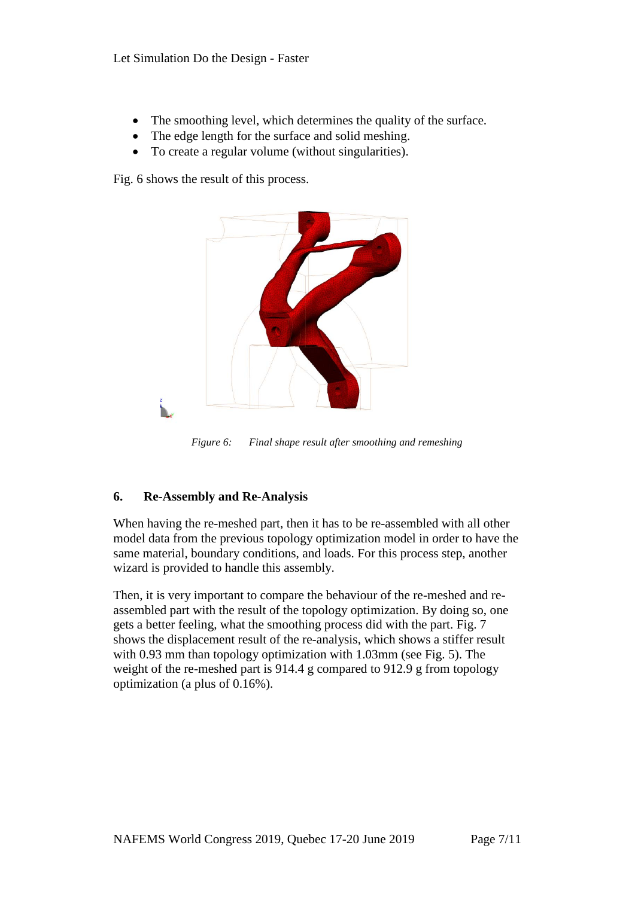- The smoothing level, which determines the quality of the surface.
- The edge length for the surface and solid meshing.
- To create a regular volume (without singularities).

Fig. 6 shows the result of this process.



*Figure 6: Final shape result after smoothing and remeshing*

# **6. Re-Assembly and Re-Analysis**

When having the re-meshed part, then it has to be re-assembled with all other model data from the previous topology optimization model in order to have the same material, boundary conditions, and loads. For this process step, another wizard is provided to handle this assembly.

Then, it is very important to compare the behaviour of the re-meshed and reassembled part with the result of the topology optimization. By doing so, one gets a better feeling, what the smoothing process did with the part. Fig. 7 shows the displacement result of the re-analysis, which shows a stiffer result with 0.93 mm than topology optimization with 1.03mm (see Fig. 5). The weight of the re-meshed part is 914.4 g compared to 912.9 g from topology optimization (a plus of 0.16%).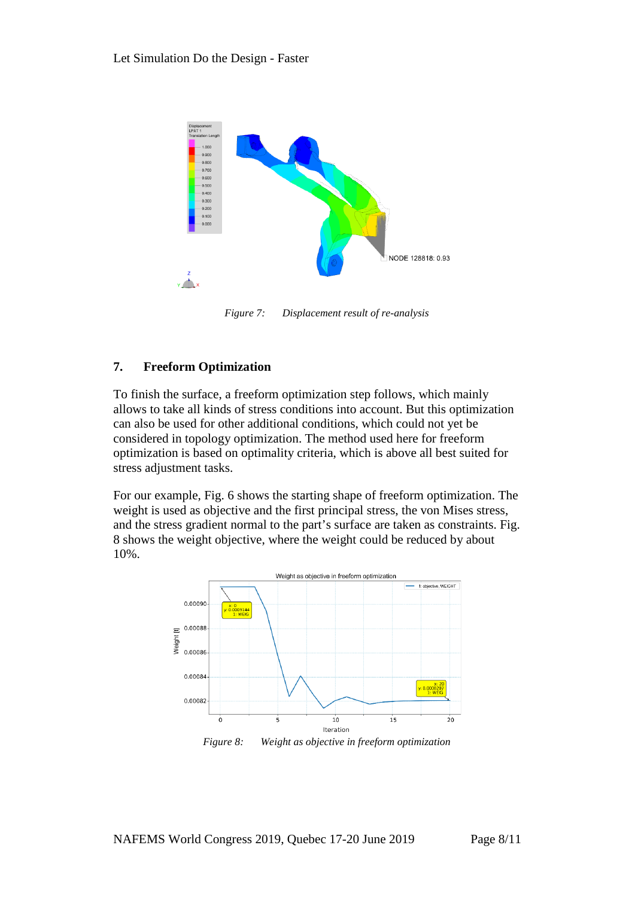

*Figure 7: Displacement result of re-analysis*

## **7. Freeform Optimization**

To finish the surface, a freeform optimization step follows, which mainly allows to take all kinds of stress conditions into account. But this optimization can also be used for other additional conditions, which could not yet be considered in topology optimization. The method used here for freeform optimization is based on optimality criteria, which is above all best suited for stress adjustment tasks.

For our example, Fig. 6 shows the starting shape of freeform optimization. The weight is used as objective and the first principal stress, the von Mises stress, and the stress gradient normal to the part's surface are taken as constraints. Fig. 8 shows the weight objective, where the weight could be reduced by about 10%.

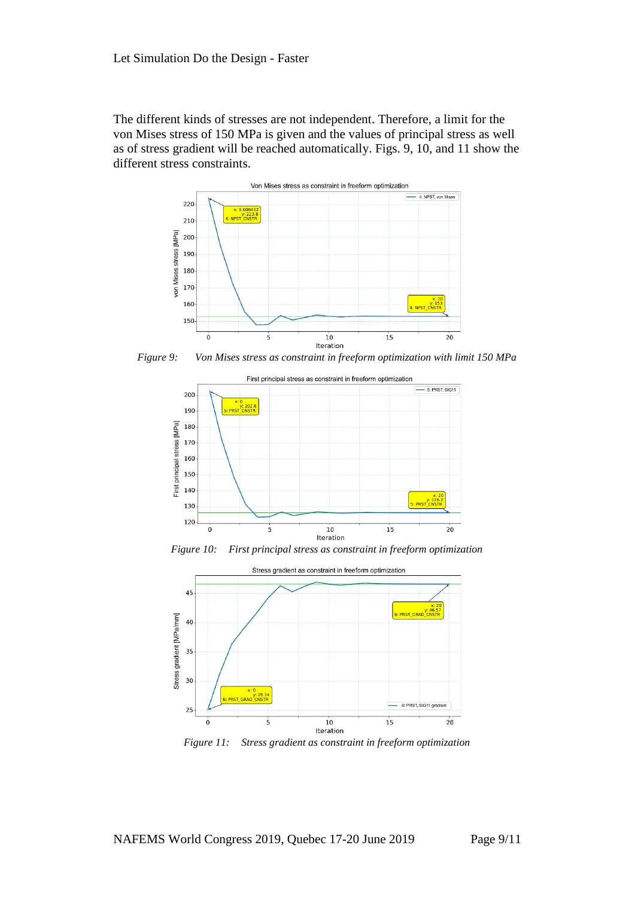The different kinds of stresses are not independent. Therefore, a limit for the von Mises stress of 150 MPa is given and the values of principal stress as well as of stress gradient will be reached automatically. Figs. 9, 10, and 11 show the different stress constraints.



*Figure 9: Von Mises stress as constraint in freeform optimization with limit 150 MPa*



*Figure 10: First principal stress as constraint in freeform optimization*



*Figure 11: Stress gradient as constraint in freeform optimization*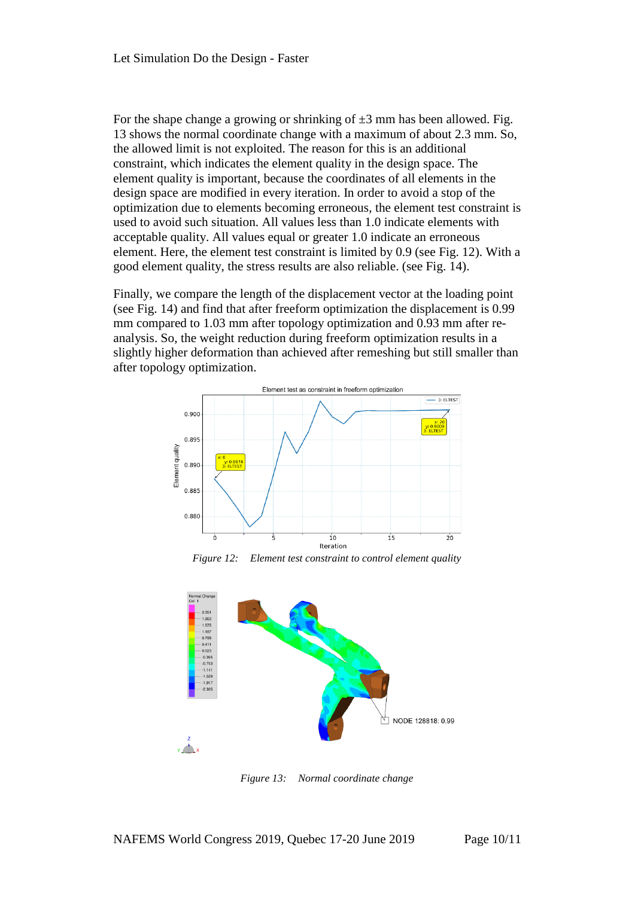For the shape change a growing or shrinking of  $\pm 3$  mm has been allowed. Fig. 13 shows the normal coordinate change with a maximum of about 2.3 mm. So, the allowed limit is not exploited. The reason for this is an additional constraint, which indicates the element quality in the design space. The element quality is important, because the coordinates of all elements in the design space are modified in every iteration. In order to avoid a stop of the optimization due to elements becoming erroneous, the element test constraint is used to avoid such situation. All values less than 1.0 indicate elements with acceptable quality. All values equal or greater 1.0 indicate an erroneous element. Here, the element test constraint is limited by 0.9 (see Fig. 12). With a good element quality, the stress results are also reliable. (see Fig. 14).

Finally, we compare the length of the displacement vector at the loading point (see Fig. 14) and find that after freeform optimization the displacement is 0.99 mm compared to 1.03 mm after topology optimization and 0.93 mm after reanalysis. So, the weight reduction during freeform optimization results in a slightly higher deformation than achieved after remeshing but still smaller than after topology optimization.



*Figure 12: Element test constraint to control element quality* 



*Figure 13: Normal coordinate change*